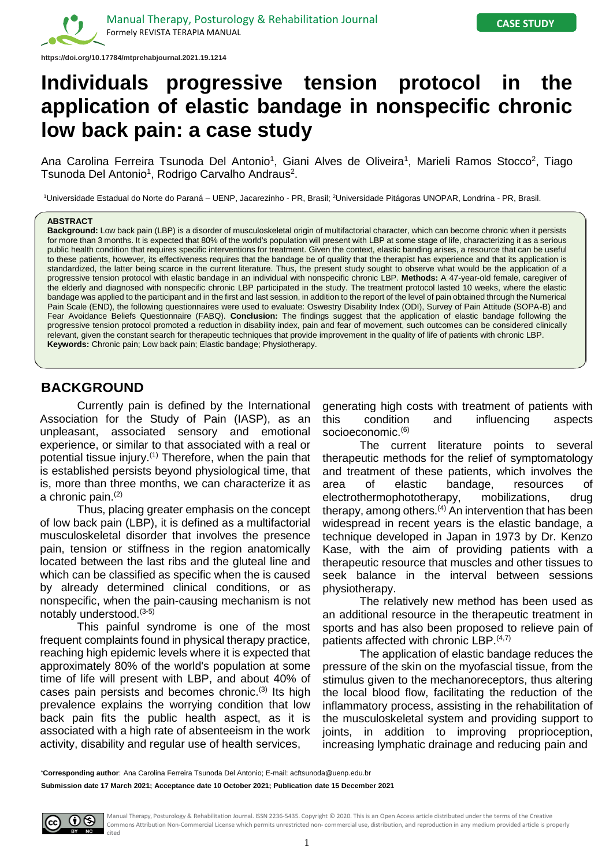

# **Individuals progressive tension protocol in the application of elastic bandage in nonspecific chronic low back pain: a case study**

Ana Carolina Ferreira Tsunoda Del Antonio<sup>1</sup>, Giani Alves de Oliveira<sup>1</sup>, Marieli Ramos Stocco<sup>2</sup>, Tiago Tsunoda Del Antonio<sup>1</sup>, Rodrigo Carvalho Andraus<sup>2</sup>.

<sup>1</sup>Universidade Estadual do Norte do Paraná – UENP, Jacarezinho - PR, Brasil; <sup>2</sup>Universidade Pitágoras UNOPAR, Londrina - PR, Brasil.

#### **ABSTRACT**

**Background:** Low back pain (LBP) is a disorder of musculoskeletal origin of multifactorial character, which can become chronic when it persists for more than 3 months. It is expected that 80% of the world's population will present with LBP at some stage of life, characterizing it as a serious public health condition that requires specific interventions for treatment. Given the context, elastic banding arises, a resource that can be useful to these patients, however, its effectiveness requires that the bandage be of quality that the therapist has experience and that its application is standardized, the latter being scarce in the current literature. Thus, the present study sought to observe what would be the application of a progressive tension protocol with elastic bandage in an individual with nonspecific chronic LBP. **Methods:** A 47-year-old female, caregiver of the elderly and diagnosed with nonspecific chronic LBP participated in the study. The treatment protocol lasted 10 weeks, where the elastic bandage was applied to the participant and in the first and last session, in addition to the report of the level of pain obtained through the Numerical Pain Scale (END), the following questionnaires were used to evaluate: Oswestry Disability Index (ODI), Survey of Pain Attitude (SOPA-B) and Fear Avoidance Beliefs Questionnaire (FABQ). **Conclusion:** The findings suggest that the application of elastic bandage following the progressive tension protocol promoted a reduction in disability index, pain and fear of movement, such outcomes can be considered clinically relevant, given the constant search for therapeutic techniques that provide improvement in the quality of life of patients with chronic LBP. **Keywords:** Chronic pain; Low back pain; Elastic bandage; Physiotherapy.

# **BACKGROUND**

Currently pain is defined by the International Association for the Study of Pain (IASP), as an unpleasant, associated sensory and emotional experience, or similar to that associated with a real or potential tissue injury.<sup>(1)</sup> Therefore, when the pain that is established persists beyond physiological time, that is, more than three months, we can characterize it as a chronic pain. (2)

Thus, placing greater emphasis on the concept of low back pain (LBP), it is defined as a multifactorial musculoskeletal disorder that involves the presence pain, tension or stiffness in the region anatomically located between the last ribs and the gluteal line and which can be classified as specific when the is caused by already determined clinical conditions, or as nonspecific, when the pain-causing mechanism is not notably understood. (3-5)

This painful syndrome is one of the most frequent complaints found in physical therapy practice, reaching high epidemic levels where it is expected that approximately 80% of the world's population at some time of life will present with LBP, and about 40% of cases pain persists and becomes chronic.<sup>(3)</sup> Its high prevalence explains the worrying condition that low back pain fits the public health aspect, as it is associated with a high rate of absenteeism in the work activity, disability and regular use of health services,

generating high costs with treatment of patients with this condition and influencing aspects socioeconomic. (6)

The current literature points to several therapeutic methods for the relief of symptomatology and treatment of these patients, which involves the area of elastic bandage, resources of electrothermophototherapy, mobilizations, drug therapy, among others.<sup>(4)</sup> An intervention that has been widespread in recent years is the elastic bandage, a technique developed in Japan in 1973 by Dr. Kenzo Kase, with the aim of providing patients with a therapeutic resource that muscles and other tissues to seek balance in the interval between sessions physiotherapy.

The relatively new method has been used as an additional resource in the therapeutic treatment in sports and has also been proposed to relieve pain of patients affected with chronic LBP. (4,7)

The application of elastic bandage reduces the pressure of the skin on the myofascial tissue, from the stimulus given to the mechanoreceptors, thus altering the local blood flow, facilitating the reduction of the inflammatory process, assisting in the rehabilitation of the musculoskeletal system and providing support to joints, in addition to improving proprioception, increasing lymphatic drainage and reducing pain and

**Submission date 17 March 2021; Acceptance date 10 October 2021; Publication date 15 December 2021**



Manual Therapy, Posturology & Rehabilitation Journal. ISSN 2236-5435. Copyright © 2020. This is an Open Access article distributed under the terms of the Creative Commons Attribution Non-Commercial License which permits unrestricted non- commercial use, distribution, and reproduction in any medium provided article is properly cited

**<sup>\*</sup>Corresponding author**: Ana Carolina Ferreira Tsunoda Del Antonio; E-mail: acftsunoda@uenp.edu.br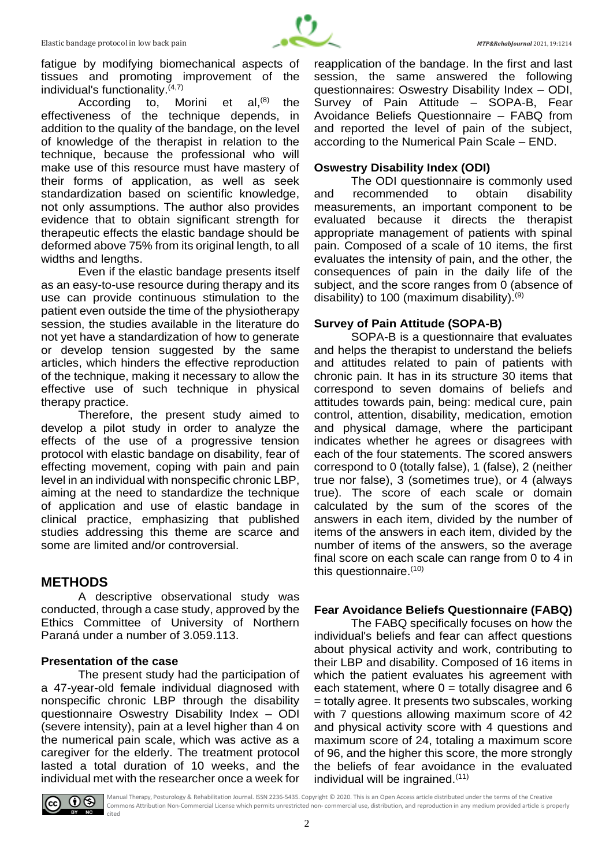

fatigue by modifying biomechanical aspects of tissues and promoting improvement of the individual's functionality. $(4,7)$ 

According to, Morini et al,<sup>(8)</sup> the effectiveness of the technique depends, in addition to the quality of the bandage, on the level of knowledge of the therapist in relation to the technique, because the professional who will make use of this resource must have mastery of their forms of application, as well as seek standardization based on scientific knowledge, not only assumptions. The author also provides evidence that to obtain significant strength for therapeutic effects the elastic bandage should be deformed above 75% from its original length, to all widths and lengths.

Even if the elastic bandage presents itself as an easy-to-use resource during therapy and its use can provide continuous stimulation to the patient even outside the time of the physiotherapy session, the studies available in the literature do not yet have a standardization of how to generate or develop tension suggested by the same articles, which hinders the effective reproduction of the technique, making it necessary to allow the effective use of such technique in physical therapy practice.

Therefore, the present study aimed to develop a pilot study in order to analyze the effects of the use of a progressive tension protocol with elastic bandage on disability, fear of effecting movement, coping with pain and pain level in an individual with nonspecific chronic LBP, aiming at the need to standardize the technique of application and use of elastic bandage in clinical practice, emphasizing that published studies addressing this theme are scarce and some are limited and/or controversial.

# **METHODS**

A descriptive observational study was conducted, through a case study, approved by the Ethics Committee of University of Northern Paraná under a number of 3.059.113.

### **Presentation of the case**

The present study had the participation of a 47-year-old female individual diagnosed with nonspecific chronic LBP through the disability questionnaire Oswestry Disability Index – ODI (severe intensity), pain at a level higher than 4 on the numerical pain scale, which was active as a caregiver for the elderly. The treatment protocol lasted a total duration of 10 weeks, and the individual met with the researcher once a week for

reapplication of the bandage. In the first and last session, the same answered the following questionnaires: Oswestry Disability Index – ODI, Survey of Pain Attitude – SOPA-B, Fear Avoidance Beliefs Questionnaire – FABQ from and reported the level of pain of the subject, according to the Numerical Pain Scale – END.

### **Oswestry Disability Index (ODI)**

The ODI questionnaire is commonly used and recommended to obtain disability measurements, an important component to be evaluated because it directs the therapist appropriate management of patients with spinal pain. Composed of a scale of 10 items, the first evaluates the intensity of pain, and the other, the consequences of pain in the daily life of the subject, and the score ranges from 0 (absence of disability) to 100 (maximum disability). $(9)$ 

# **Survey of Pain Attitude (SOPA-B)**

SOPA-B is a questionnaire that evaluates and helps the therapist to understand the beliefs and attitudes related to pain of patients with chronic pain. It has in its structure 30 items that correspond to seven domains of beliefs and attitudes towards pain, being: medical cure, pain control, attention, disability, medication, emotion and physical damage, where the participant indicates whether he agrees or disagrees with each of the four statements. The scored answers correspond to 0 (totally false), 1 (false), 2 (neither true nor false), 3 (sometimes true), or 4 (always true). The score of each scale or domain calculated by the sum of the scores of the answers in each item, divided by the number of items of the answers in each item, divided by the number of items of the answers, so the average final score on each scale can range from 0 to 4 in this questionnaire. $(10)$ 

# **Fear Avoidance Beliefs Questionnaire (FABQ)**

The FABQ specifically focuses on how the individual's beliefs and fear can affect questions about physical activity and work, contributing to their LBP and disability. Composed of 16 items in which the patient evaluates his agreement with each statement, where  $0 =$  totally disagree and 6 = totally agree. It presents two subscales, working with 7 questions allowing maximum score of 42 and physical activity score with 4 questions and maximum score of 24, totaling a maximum score of 96, and the higher this score, the more strongly the beliefs of fear avoidance in the evaluated individual will be ingrained. $(11)$ 



**● Manual Therapy, Posturology & Rehabilitation Journal. ISSN 2236-5435. Copyright © 2020. This is an Open Access article distributed under the terms of the Creative<br>Commons Attribution Non Commonsial Usesses which as wel** Commons Attribution Non-Commercial License which permits unrestricted non- commercial use, distribution, and reproduction in any medium provided article is properly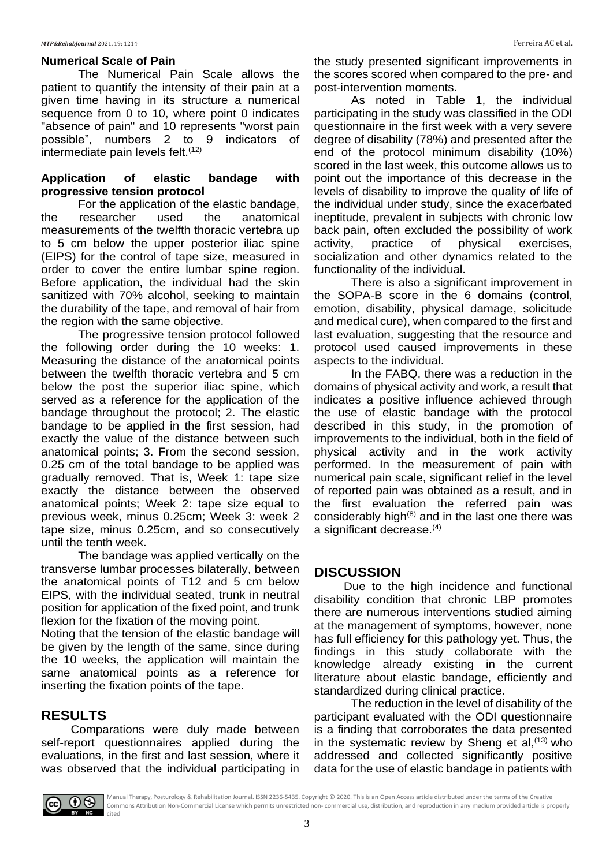#### *MTP&RehabJournal* 2021, 19: 1214 Ferreira AC et al.

### **Numerical Scale of Pain**

The Numerical Pain Scale allows the patient to quantify the intensity of their pain at a given time having in its structure a numerical sequence from 0 to 10, where point 0 indicates "absence of pain" and 10 represents "worst pain possible", numbers 2 to 9 indicators of intermediate pain levels felt.<sup>(12)</sup>

### **Application of elastic bandage with progressive tension protocol**

For the application of the elastic bandage,<br>researcher used the anatomical the researcher used the anatomical measurements of the twelfth thoracic vertebra up to 5 cm below the upper posterior iliac spine (EIPS) for the control of tape size, measured in order to cover the entire lumbar spine region. Before application, the individual had the skin sanitized with 70% alcohol, seeking to maintain the durability of the tape, and removal of hair from the region with the same objective.

The progressive tension protocol followed the following order during the 10 weeks: 1. Measuring the distance of the anatomical points between the twelfth thoracic vertebra and 5 cm below the post the superior iliac spine, which served as a reference for the application of the bandage throughout the protocol; 2. The elastic bandage to be applied in the first session, had exactly the value of the distance between such anatomical points; 3. From the second session, 0.25 cm of the total bandage to be applied was gradually removed. That is, Week 1: tape size exactly the distance between the observed anatomical points; Week 2: tape size equal to previous week, minus 0.25cm; Week 3: week 2 tape size, minus 0.25cm, and so consecutively until the tenth week.

The bandage was applied vertically on the transverse lumbar processes bilaterally, between the anatomical points of T12 and 5 cm below EIPS, with the individual seated, trunk in neutral position for application of the fixed point, and trunk flexion for the fixation of the moving point.

Noting that the tension of the elastic bandage will be given by the length of the same, since during the 10 weeks, the application will maintain the same anatomical points as a reference for inserting the fixation points of the tape.

# **RESULTS**

 Comparations were duly made between self-report questionnaires applied during the evaluations, in the first and last session, where it was observed that the individual participating in

the study presented significant improvements in the scores scored when compared to the pre- and post-intervention moments.

As noted in Table 1, the individual participating in the study was classified in the ODI questionnaire in the first week with a very severe degree of disability (78%) and presented after the end of the protocol minimum disability (10%) scored in the last week, this outcome allows us to point out the importance of this decrease in the levels of disability to improve the quality of life of the individual under study, since the exacerbated ineptitude, prevalent in subjects with chronic low back pain, often excluded the possibility of work<br>activity, practice of physical exercises. activity, practice of physical exercises, socialization and other dynamics related to the functionality of the individual.

There is also a significant improvement in the SOPA-B score in the 6 domains (control, emotion, disability, physical damage, solicitude and medical cure), when compared to the first and last evaluation, suggesting that the resource and protocol used caused improvements in these aspects to the individual.

In the FABQ, there was a reduction in the domains of physical activity and work, a result that indicates a positive influence achieved through the use of elastic bandage with the protocol described in this study, in the promotion of improvements to the individual, both in the field of physical activity and in the work activity performed. In the measurement of pain with numerical pain scale, significant relief in the level of reported pain was obtained as a result, and in the first evaluation the referred pain was considerably high $(8)$  and in the last one there was a significant decrease.(4)

# **DISCUSSION**

 Due to the high incidence and functional disability condition that chronic LBP promotes there are numerous interventions studied aiming at the management of symptoms, however, none has full efficiency for this pathology yet. Thus, the findings in this study collaborate with the knowledge already existing in the current literature about elastic bandage, efficiently and standardized during clinical practice.

The reduction in the level of disability of the participant evaluated with the ODI questionnaire is a finding that corroborates the data presented in the systematic review by Sheng et al,  $(13)$  who addressed and collected significantly positive data for the use of elastic bandage in patients with



Manual Therapy, Posturology & Rehabilitation Journal. ISSN 2236-5435. Copyright © 2020. This is an Open Access article distributed under the terms of the Creative Commons Attribution Non-Commercial License which permits unrestricted non- commercial use, distribution, and reproduction in any medium provided article is properly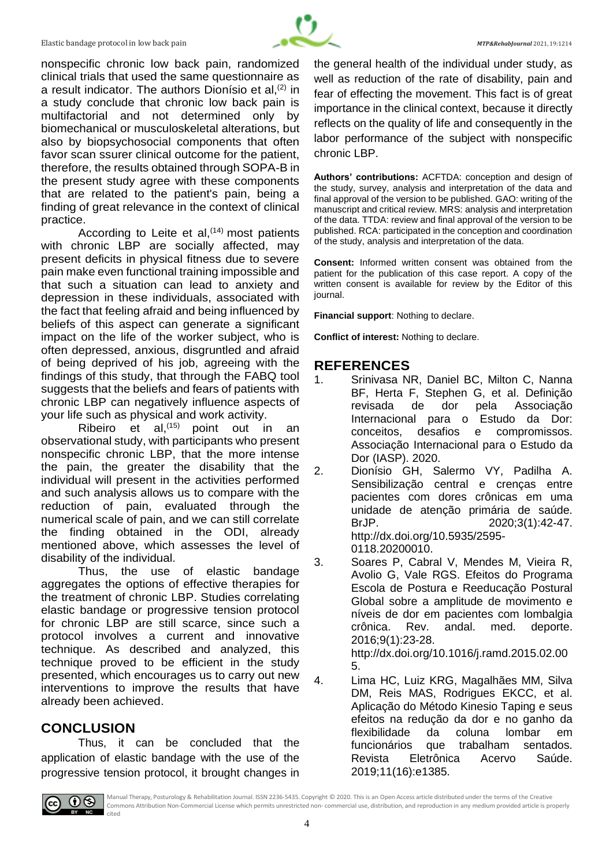

nonspecific chronic low back pain, randomized clinical trials that used the same questionnaire as a result indicator. The authors Dionísio et al. $(2)$  in a study conclude that chronic low back pain is multifactorial and not determined only by biomechanical or musculoskeletal alterations, but also by biopsychosocial components that often favor scan ssurer clinical outcome for the patient, therefore, the results obtained through SOPA-B in the present study agree with these components that are related to the patient's pain, being a finding of great relevance in the context of clinical practice.

According to Leite et al,  $(14)$  most patients with chronic LBP are socially affected, may present deficits in physical fitness due to severe pain make even functional training impossible and that such a situation can lead to anxiety and depression in these individuals, associated with the fact that feeling afraid and being influenced by beliefs of this aspect can generate a significant impact on the life of the worker subject, who is often depressed, anxious, disgruntled and afraid of being deprived of his job, agreeing with the findings of this study, that through the FABQ tool suggests that the beliefs and fears of patients with chronic LBP can negatively influence aspects of your life such as physical and work activity.

Ribeiro et al,  $(15)$  point out in an observational study, with participants who present nonspecific chronic LBP, that the more intense the pain, the greater the disability that the individual will present in the activities performed and such analysis allows us to compare with the reduction of pain, evaluated through the numerical scale of pain, and we can still correlate the finding obtained in the ODI, already mentioned above, which assesses the level of disability of the individual.

Thus, the use of elastic bandage aggregates the options of effective therapies for the treatment of chronic LBP. Studies correlating elastic bandage or progressive tension protocol for chronic LBP are still scarce, since such a protocol involves a current and innovative technique. As described and analyzed, this technique proved to be efficient in the study presented, which encourages us to carry out new interventions to improve the results that have already been achieved.

# **CONCLUSION**

Thus, it can be concluded that the application of elastic bandage with the use of the progressive tension protocol, it brought changes in the general health of the individual under study, as well as reduction of the rate of disability, pain and fear of effecting the movement. This fact is of great importance in the clinical context, because it directly reflects on the quality of life and consequently in the labor performance of the subject with nonspecific chronic LBP.

**Authors' contributions:** ACFTDA: conception and design of the study, survey, analysis and interpretation of the data and final approval of the version to be published. GAO: writing of the manuscript and critical review. MRS: analysis and interpretation of the data. TTDA: review and final approval of the version to be published. RCA: participated in the conception and coordination of the study, analysis and interpretation of the data.

**Consent:** Informed written consent was obtained from the patient for the publication of this case report. A copy of the written consent is available for review by the Editor of this journal.

**Financial support**: Nothing to declare.

**Conflict of interest:** Nothing to declare.

# **REFERENCES**

- 1. Srinivasa NR, Daniel BC, Milton C, Nanna BF, Herta F, Stephen G, et al. Definição revisada de dor pela Associação Internacional para o Estudo da Dor: conceitos, desafios e compromissos. Associação Internacional para o Estudo da Dor (IASP). 2020.
- 2. Dionísio GH, Salermo VY, Padilha A. Sensibilização central e crenças entre pacientes com dores crônicas em uma unidade de atenção primária de saúde. BrJP. 2020;3(1):42-47. http://dx.doi.org/10.5935/2595- 0118.20200010.
- 3. Soares P, Cabral V, Mendes M, Vieira R, Avolio G, Vale RGS. Efeitos do Programa Escola de Postura e Reeducação Postural Global sobre a amplitude de movimento e níveis de dor em pacientes com lombalgia crônica. Rev. andal. med. deporte. 2016;9(1):23-28. http://dx.doi.org/10.1016/j.ramd.2015.02.00

5.

4. Lima HC, Luiz KRG, Magalhães MM, Silva DM, Reis MAS, Rodrigues EKCC, et al. Aplicação do Método Kinesio Taping e seus efeitos na redução da dor e no ganho da flexibilidade da coluna lombar em funcionários que trabalham sentados. Revista Eletrônica Acervo Saúde. 2019;11(16):e1385.



Manual Therapy, Posturology & Rehabilitation Journal. ISSN 2236-5435. Copyright © 2020. This is an Open Access article distributed under the terms of the Creative Commons Attribution Non-Commercial License which permits unrestricted non- commercial use, distribution, and reproduction in any medium provided article is properly